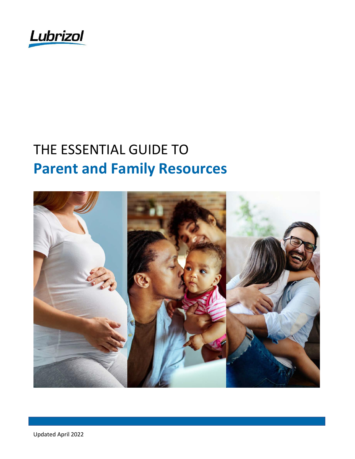

# THE ESSENTIAL GUIDE TO **Parent and Family Resources**

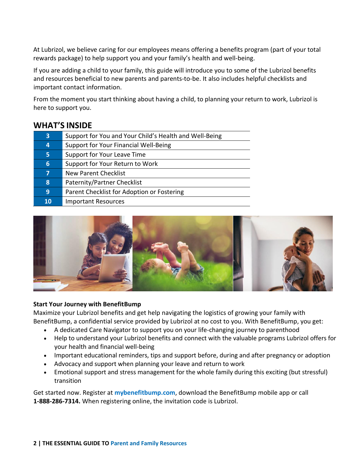At Lubrizol, we believe caring for our employees means offering a benefits program (part of your total rewards package) to help support you and your family's health and well-being.

If you are adding a child to your family, this guide will introduce you to some of the Lubrizol benefits and resources beneficial to new parents and parents-to-be. It also includes helpful checklists and important contact information.

From the moment you start thinking about having a child, to planning your return to work, Lubrizol is here to support you.

# **WHAT'S INSIDE**

| 3. | Support for You and Your Child's Health and Well-Being |  |  |
|----|--------------------------------------------------------|--|--|
| 4  | Support for Your Financial Well-Being                  |  |  |
| 5  | Support for Your Leave Time                            |  |  |
| 6  | Support for Your Return to Work                        |  |  |
| 7  | <b>New Parent Checklist</b>                            |  |  |
| 8  | Paternity/Partner Checklist                            |  |  |
| 9  | Parent Checklist for Adoption or Fostering             |  |  |
| 10 | <b>Important Resources</b>                             |  |  |



# **Start Your Journey with BenefitBump**

Maximize your Lubrizol benefits and get help navigating the logistics of growing your family with BenefitBump, a confidential service provided by Lubrizol at no cost to you. With BenefitBump, you get:

- A dedicated Care Navigator to support you on your life-changing journey to parenthood
- Help to understand your Lubrizol benefits and connect with the valuable programs Lubrizol offers for your health and financial well-being
- Important educational reminders, tips and support before, during and after pregnancy or adoption
- Advocacy and support when planning your leave and return to work
- Emotional support and stress management for the whole family during this exciting (but stressful) transition

Get started now. Register at **[mybenefitbump.com](file:///C:/Users/cnierodzinski/AppData/Local/Microsoft/Windows/INetCache/Content.Outlook/IQ5YKBYK/mybenefitbump.com)**, download the BenefitBump mobile app or call **1-888-286-7314.** When registering online, the invitation code is Lubrizol.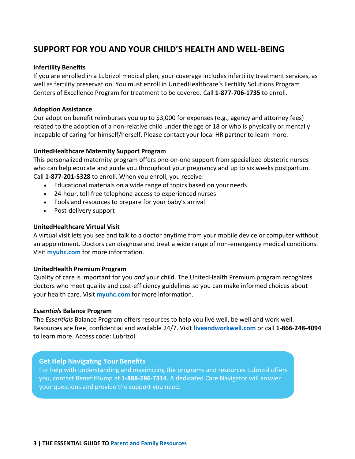# **SUPPORT FOR YOU AND YOUR CHILD'S HEALTH AND WELL-BEING**

#### **Infertility Benefits**

If you are enrolled in a Lubrizol medical plan, your coverage includes infertility treatment services, as well as fertility preservation. You must enroll in UnitedHealthcare's Fertility Solutions Program Centers of Excellence Program for treatment to be covered. Call **1-877-706-1735** to enroll.

#### **Adoption Assistance**

Our adoption benefit reimburses you up to \$3,000 for expenses (e.g., agency and attorney fees) related to the adoption of a non-relative child under the age of 18 or who is physically or mentally incapable of caring for himself/herself. Please contact your local HR partner to learn more.

#### **UnitedHealthcare Maternity Support Program**

This personalized maternity program offers one-on-one support from specialized obstetric nurses who can help educate and guide you throughout your pregnancy and up to six weeks postpartum. Call **1-877-201-5328** to enroll. When you enroll, you receive:

- Educational materials on a wide range of topics based on your needs
- 24-hour, toll-free telephone access to experienced nurses
- Tools and resources to prepare for your baby's arrival
- Post-delivery support

### **UnitedHealthcare Virtual Visit**

A virtual visit lets you see and talk to a doctor anytime from your mobile device or computer without an appointment. Doctors can diagnose and treat a wide range of non-emergency medical conditions. Visit **[myuhc.com](http://www.myuhc.com/)** for more information.

#### **UnitedHealth Premium Program**

Quality of care is important for you *and* your child. The UnitedHealth Premium program recognizes doctors who meet quality and cost-efficiency guidelines so you can make informed choices about your health care. Visit **[myuhc.com](http://www.myuhc.com/)** for more information.

#### *Essentials* **Balance Program**

The *Essentials* Balance Program offers resources to help you live well, be well and work well. Resources are free, confidential and available 24/7. Visit **[liveandworkwell.com](http://www.liveandworkwell.com/)** or call **1-866-248-4094** to learn more. Access code: Lubrizol.

#### **Get Help Navigating Your Benefits**

For help with understanding and maximizing the programs and resources Lubrizol offers you, contact BenefitBump at **1-888-286-7314**. A dedicated Care Navigator will answer your questions and provide the support you need.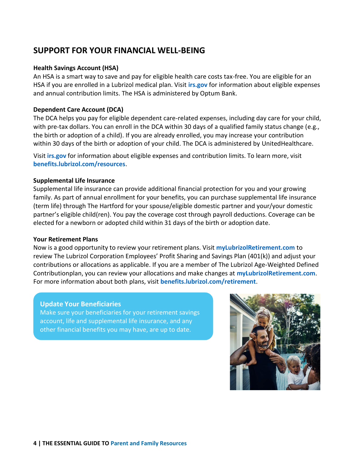# **SUPPORT FOR YOUR FINANCIAL WELL-BEING**

### **Health Savings Account (HSA)**

An HSA is a smart way to save and pay for eligible health care costs tax-free. You are eligible for an HSA if you are enrolled in a Lubrizol medical plan. Visit **[irs.gov](https://www.irs.gov/publications/p969)** for information about eligible expenses and annual contribution limits. The HSA is administered by Optum Bank.

### **Dependent Care Account (DCA)**

The DCA helps you pay for eligible dependent care-related expenses, including day care for your child, with pre-tax dollars. You can enroll in the DCA within 30 days of a qualified family status change (e.g., the birth or adoption of a child). If you are already enrolled, you may increase your contribution within 30 days of the birth or adoption of your child. The DCA is administered by UnitedHealthcare.

Visit **[irs.gov](https://www.irs.gov/publications/p503)** for information about eligible expenses and contribution limits. To learn more, visit **[benefits.lubrizol.com/resources](https://benefits.lubrizol.com/resources)**.

#### **Supplemental Life Insurance**

Supplemental life insurance can provide additional financial protection for you and your growing family. As part of annual enrollment for your benefits, you can purchase supplemental life insurance (term life) through The Hartford for your spouse/eligible domestic partner and your/your domestic partner's eligible child(ren). You pay the coverage cost through payroll deductions. Coverage can be elected for a newborn or adopted child within 31 days of the birth or adoption date.

#### **Your Retirement Plans**

Now is a good opportunity to review your retirement plans. Visit **[myLubrizolRetirement.com](https://participant.empower-retirement.com/participant/%23/login)** to review The Lubrizol Corporation Employees' Profit Sharing and Savings Plan (401(k)) and adjust your contributions or allocations as applicable. If you are a member of The Lubrizol Age-Weighted Defined Contributionplan, you can review your allocations and make changes at **[myLubrizolRetirement.com](https://participant.empower-retirement.com/participant/%23/login)**. For more information about both plans, visit **[benefits.lubrizol.com/retirement](https://benefits.lubrizol.com/retirement)**.

#### **Update Your Beneficiaries**

Make sure your beneficiaries for your retirement savings account, life and supplemental life insurance, and any other financial benefits you may have, are up to date.

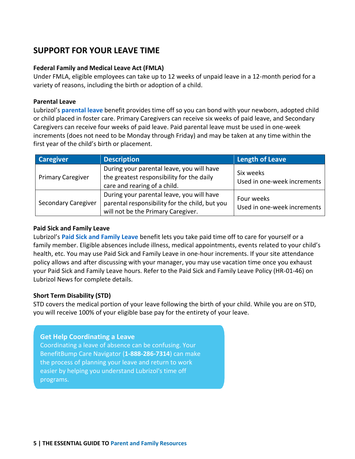# **SUPPORT FOR YOUR LEAVE TIME**

# **Federal Family and Medical Leave Act (FMLA)**

Under FMLA, eligible employees can take up to 12 weeks of unpaid leave in a 12-month period for a variety of reasons, including the birth or adoption of a child.

# **Parental Leave**

Lubrizol's **[parental](https://benefits.lubrizol.com/Leave-Management/Parental-Leave#Parental%20Leave) leave** benefit provides time off so you can bond with your newborn, adopted child or child placed in foster care. Primary Caregivers can receive six weeks of paid leave, and Secondary Caregivers can receive four weeks of paid leave. Paid parental leave must be used in one-week increments (does not need to be Monday through Friday) and may be taken at any time within the first year of the child's birth or placement.

| <b>Caregiver</b>           | <b>Description</b>                                                                                                                | <b>Length of Leave</b>                    |
|----------------------------|-----------------------------------------------------------------------------------------------------------------------------------|-------------------------------------------|
| <b>Primary Caregiver</b>   | During your parental leave, you will have<br>the greatest responsibility for the daily<br>care and rearing of a child.            | Six weeks<br>Used in one-week increments  |
| <b>Secondary Caregiver</b> | During your parental leave, you will have<br>parental responsibility for the child, but you<br>will not be the Primary Caregiver. | Four weeks<br>Used in one-week increments |

# **Paid Sick and Family Leave**

Lubrizol's **[Paid Sick and Family Leave](https://benefits.lubrizol.com/Leave-Management/Paid-Sick-and-Family-Leave)** benefit lets you take paid time off to care for yourself or a family member. Eligible absences include illness, medical appointments, events related to your child's health, etc. You may use Paid Sick and Family Leave in one-hour increments. If your site attendance policy allows and after discussing with your manager, you may use vacation time once you exhaust your Paid Sick and Family Leave hours. Refer to the Paid Sick and Family Leave Policy (HR-01-46) on Lubrizol News for complete details.

# **Short Term Disability (STD)**

STD covers the medical portion of your leave following the birth of your child. While you are on STD, you will receive 100% of your eligible base pay for the entirety of your leave.

# **Get Help Coordinating a Leave**

Coordinating a leave of absence can be confusing. Your BenefitBump Care Navigator (**1-888-286-7314**) can make the process of planning your leave and return to work easier by helping you understand Lubrizol's time off programs.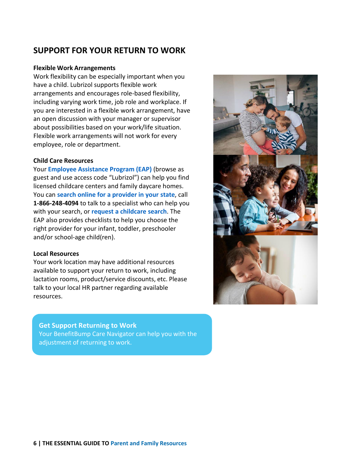# **SUPPORT FOR YOUR RETURN TO WORK**

#### **Flexible Work Arrangements**

Work flexibility can be especially important when you have a child. Lubrizol supports flexible work arrangements and encourages role-based flexibility, including varying work time, job role and workplace. If you are interested in a flexible work arrangement, have an open discussion with your manager or supervisor about possibilities based on your work/life situation. Flexible work arrangements will not work for every employee, role or department.

### **Child Care Resources**

Your **Employee [Assistance](https://benefits.lubrizol.com/Lubrizol-Essentials/Employee-Assistance-and-WorkLife-Program) Program (EAP)** (browse as guest and use access code "Lubrizol") can help you find licensed childcare centers and family daycare homes. You can **[search online for a provider in your state](https://www.liveandworkwell.com/content/en/member/library/childcare.html)**, call **1-866-248-4094** to talk to a specialist who can help you with your search, or **[request a childcare search](https://forms.liveandworkwell.com/member/forms/intakeChild_pl.asp?siteId=3474&%3BclientName=Lubrizol)**. The EAP also provides checklists to help you choose the right provider for your [infant,](https://www.liveandworkwell.com/content/dam/laww/documents/worksheets/infant_worksheet.pdf) [toddler,](https://www.liveandworkwell.com/content/dam/laww/documents/worksheets/toddler_worksheet.pdf) [preschooler](https://www.liveandworkwell.com/content/dam/laww/documents/worksheets/preschool_worksheet.pdf) and/or [school-age](https://www.liveandworkwell.com/content/dam/laww/documents/worksheets/schoolage_worksheet.pdf) child(ren).

#### **Local Resources**

Your work location may have additional resources available to support your return to work, including lactation rooms, product/service discounts, etc. Please talk to your local HR partner regarding available resources.



Your BenefitBump Care Navigator can help you with the adjustment of returning to work.

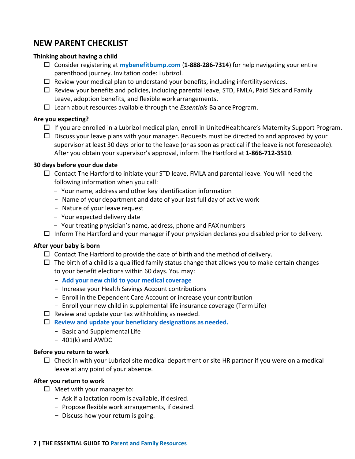# **NEW PARENT CHECKLIST**

# **Thinking about having a child**

- Consider registering at **[mybenefitbump.com](file:///C:/Users/cnierodzinski/AppData/Local/Microsoft/Windows/INetCache/Content.Outlook/IQ5YKBYK/mybenefitbump.com)** (**1-888-286-7314**) for help navigating your entire parenthood journey. Invitation code: Lubrizol.
- $\Box$  Review your medical plan to understand your benefits, including infertility services.
- $\Box$  Review your benefits and policies, including parental leave, STD, FMLA, Paid Sick and Family Leave, adoption benefits, and flexible work arrangements.
- Learn about resources available through the *Essentials* Balance Program.

# **Are you expecting?**

- $\Box$  If you are enrolled in a Lubrizol medical plan, enroll in UnitedHealthcare's Maternity Support Program.
- $\Box$  Discuss your leave plans with your manager. Requests must be directed to and approved by your supervisor at least 30 days prior to the leave (or as soon as practical if the leave is not foreseeable). After you obtain your supervisor's approval, inform The Hartford at **1-866-712-3510**.

# **30 days before your due date**

- $\Box$  Contact The Hartford to initiate your STD leave, FMLA and parental leave. You will need the following information when you call:
	- Your name, address and other key identification information
	- Name of your department and date of your last full day of active work
	- Nature of your leave request
	- Your expected delivery date
	- Your treating physician's name, address, phone and FAX numbers
- $\Box$  Inform The Hartford and your manager if your physician declares you disabled prior to delivery.

# **After your baby is born**

- $\Box$  Contact The Hartford to provide the date of birth and the method of delivery.
- $\Box$  The birth of a child is a qualified family status change that allows you to make certain changes to your benefit elections within 60 days. You may:
	- **Add your new child to your medical [coverage](https://benefits.lubrizol.com/Resources/Life-and-Work-Events/Add-or-Change-Family-Member)**
	- Increase your Health Savings Account contributions
	- Enroll in the Dependent Care Account or increase your contribution
	- Enroll your new child in supplemental life insurance coverage (Term Life)
- $\Box$  Review and update your tax withholding as needed.
- **Review and update [your beneficiary](https://benefits.lubrizol.com/Resources/Life-and-Work-Events/Add-or-Change-Family-Member) designations as needed.**
	- Basic and Supplemental Life
	- $-$  401(k) and AWDC

# **Before you return to work**

 $\Box$  Check in with your Lubrizol site medical department or site HR partner if you were on a medical leave at any point of your absence.

# **After you return to work**

- $\Box$  Meet with your manager to:
	- Ask if a lactation room is available, if desired.
	- Propose flexible work arrangements, if desired.
	- Discuss how your return is going.

### **7 | THE ESSENTIAL GUIDE TO Parent and Family Resources**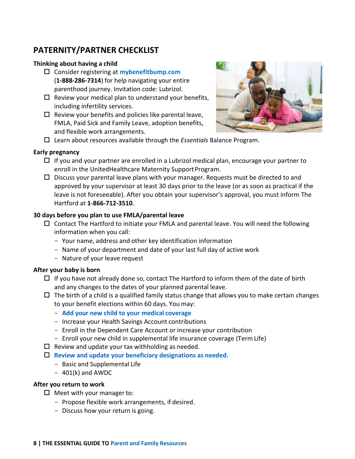# **PATERNITY/PARTNER CHECKLIST**

# **Thinking about having a child**

- Consider registering at **[mybenefitbump.com](file:///C:/Users/cnierodzinski/AppData/Local/Microsoft/Windows/INetCache/Content.Outlook/IQ5YKBYK/mybenefitbump.com)** (**1-888-286-7314**) for help navigating your entire parenthood journey. Invitation code: Lubrizol.
- $\Box$  Review your medical plan to understand your benefits, including infertility services.
- $\Box$  Review your benefits and policies like parental leave, FMLA, Paid Sick and Family Leave, adoption benefits, and flexible work arrangements.



Learn about resources available through the *Essentials* Balance Program.

# **Early pregnancy**

- $\Box$  If you and your partner are enrolled in a Lubrizol medical plan, encourage your partner to enroll in the UnitedHealthcare Maternity Support Program.
- $\Box$  Discuss your parental leave plans with your manager. Requests must be directed to and approved by your supervisor at least 30 days prior to the leave (or as soon as practical if the leave is not foreseeable). After you obtain your supervisor's approval, you must inform The Hartford at **1-866-712-3510**.

# **30 days before you plan to use FMLA/parental leave**

- $\Box$  Contact The Hartford to initiate your FMLA and parental leave. You will need the following information when you call:
	- Your name, address and other key identification information
	- Name of your department and date of your last full day of active work
	- Nature of your leave request

### **After your baby is born**

- $\Box$  If you have not already done so, contact The Hartford to inform them of the date of birth and any changes to the dates of your planned parental leave.
- $\Box$  The birth of a child is a qualified family status change that allows you to make certain changes to your benefit elections within 60 days. You may:
	- **Add [your new child to](https://benefits.lubrizol.com/Resources/Life-and-Work-Events/Add-or-Change-Family-Member) your medical coverage**
	- Increase your Health Savings Account contributions
	- Enroll in the Dependent Care Account or increase your contribution
	- Enroll your new child in supplemental life insurance coverage (Term Life)
- $\Box$  Review and update your tax withholding as needed.
- **Review and update [your beneficiary](https://benefits.lubrizol.com/Resources/Life-and-Work-Events/Add-or-Change-Family-Member) designations as needed.**
	- Basic and Supplemental Life
	- $-401(k)$  and AWDC

### **After you return to work**

- $\Box$  Meet with your manager to:
	- Propose flexible work arrangements, if desired.
	- Discuss how your return is going.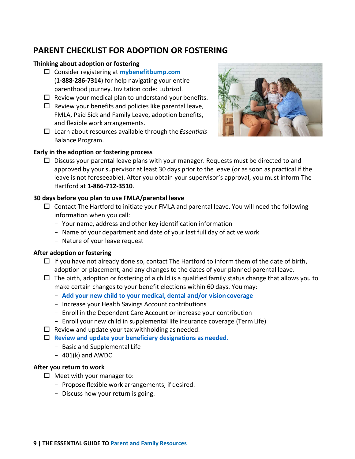# **PARENT CHECKLIST FOR ADOPTION OR FOSTERING**

# **Thinking about adoption or fostering**

- Consider registering at **[mybenefitbump.com](file:///C:/Users/cnierodzinski/AppData/Local/Microsoft/Windows/INetCache/Content.Outlook/IQ5YKBYK/mybenefitbump.com)** (**1-888-286-7314**) for help navigating your entire parenthood journey. Invitation code: Lubrizol.
- $\Box$  Review your medical plan to understand your benefits.
- $\Box$  Review your benefits and policies like parental leave, FMLA, Paid Sick and Family Leave, adoption benefits, and flexible work arrangements.
- Learn about resources available through the *Essentials* Balance Program.



# **Early in the adoption or fostering process**

 $\Box$  Discuss your parental leave plans with your manager. Requests must be directed to and approved by your supervisor at least 30 days prior to the leave (or as soon as practical if the leave is not foreseeable). After you obtain your supervisor's approval, you must inform The Hartford at **1-866-712-3510**.

# **30 days before you plan to use FMLA/parental leave**

- $\Box$  Contact The Hartford to initiate your FMLA and parental leave. You will need the following information when you call:
	- Your name, address and other key identification information
	- Name of your department and date of your last full day of active work
	- Nature of your leave request

# **After adoption or fostering**

- $\Box$  If you have not already done so, contact The Hartford to inform them of the date of birth, adoption or placement, and any changes to the dates of your planned parental leave.
- $\Box$  The birth, adoption or fostering of a child is a qualified family status change that allows you to make certain changes to your benefit elections within 60 days. Youmay:
	- **Add [your new child to](https://benefits.lubrizol.com/Resources/Life-and-Work-Events/Add-or-Change-Family-Member) your medical, dental and/or vision coverage**
	- Increase your Health Savings Account contributions
	- Enroll in the Dependent Care Account or increase your contribution
	- Enroll your new child in supplemental life insurance coverage (Term Life)
- $\Box$  Review and update your tax withholding as needed.
- **Review and update [your beneficiary](https://benefits.lubrizol.com/Resources/Life-and-Work-Events/Add-or-Change-Family-Member) designations as needed.**
	- Basic and Supplemental Life
	- $-401(k)$  and AWDC

### **After you return to work**

- $\Box$  Meet with your manager to:
	- Propose flexible work arrangements, if desired.
	- Discuss how your return is going.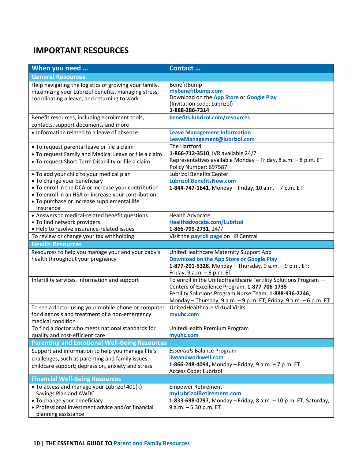# **IMPORTANT RESOURCES**

| When you need                                                                                                                                                           | Contact                                                                                                                                                                                                                                          |  |  |  |
|-------------------------------------------------------------------------------------------------------------------------------------------------------------------------|--------------------------------------------------------------------------------------------------------------------------------------------------------------------------------------------------------------------------------------------------|--|--|--|
| <b>General Resources</b>                                                                                                                                                |                                                                                                                                                                                                                                                  |  |  |  |
| Help navigating the logistics of growing your family,<br>maximizing your Lubrizol benefits, managing stress,<br>coordinating a leave, and returning to work             | BenefitBump<br>mybenefitbump.com<br>Download on the App Store or Google Play<br>(Invitation code: Lubrizol)<br>1-888-286-7314                                                                                                                    |  |  |  |
| Benefit resources, including enrollment tools,                                                                                                                          | benefits.lubrizol.com/resources                                                                                                                                                                                                                  |  |  |  |
| contacts, support documents and more                                                                                                                                    |                                                                                                                                                                                                                                                  |  |  |  |
| • Information related to a leave of absence                                                                                                                             | <b>Leave Management Information</b><br>LeaveManagement@lubrizol.com                                                                                                                                                                              |  |  |  |
| • To request parental leave or file a claim<br>. To request Family and Medical Leave or file a claim<br>• To request Short Term Disability or file a claim              | The Hartford<br>1-866-712-3510, IVR available 24/7<br>Representatives available Monday - Friday, 8 a.m. - 8 p.m. ET<br>Policy Number: 697587                                                                                                     |  |  |  |
| . To add your child to your medical plan                                                                                                                                | <b>Lubrizol Benefits Center</b>                                                                                                                                                                                                                  |  |  |  |
| • To change your beneficiary                                                                                                                                            | Lubrizol.BenefitsNow.com                                                                                                                                                                                                                         |  |  |  |
| . To enroll in the DCA or increase your contribution<br>• To enroll in an HSA or increase your contribution<br>• To purchase or increase supplemental life<br>insurance | 1-844-747-1641, Monday - Friday, 10 a.m. $-7$ p.m. ET                                                                                                                                                                                            |  |  |  |
| • Answers to medical-related benefit questions                                                                                                                          | <b>Health Advocate</b>                                                                                                                                                                                                                           |  |  |  |
| • To find network providers                                                                                                                                             | Healthadvocate.com/Lubrizol                                                                                                                                                                                                                      |  |  |  |
| • Help to resolve insurance-related issues                                                                                                                              | 1-866-799-2731, 24/7                                                                                                                                                                                                                             |  |  |  |
| To review or change your tax withholding                                                                                                                                | Visit the payroll page on HR Central                                                                                                                                                                                                             |  |  |  |
| <b>Health Resources</b>                                                                                                                                                 |                                                                                                                                                                                                                                                  |  |  |  |
| Resources to help you manage your and your baby's                                                                                                                       | UnitedHealthcare Maternity Support App                                                                                                                                                                                                           |  |  |  |
| health throughout your pregnancy                                                                                                                                        | <b>Download on the App Store or Google Play</b><br>1-877-201-5328, Monday - Thursday, 9 a.m. - 9 p.m. ET;                                                                                                                                        |  |  |  |
|                                                                                                                                                                         | Friday, 9 a.m. - 6 p.m. ET                                                                                                                                                                                                                       |  |  |  |
| Infertility services, information and support                                                                                                                           | To enroll in the UnitedHealthcare Fertility Solutions Program -<br>Centers of Excellence Program: 1-877-706-1735<br>Fertility Solutions Program Nurse Team: 1-888-936-7246,<br>Monday - Thursday, 9 a.m. - 9 p.m. ET; Friday, 9 a.m. - 6 p.m. ET |  |  |  |
| To see a doctor using your mobile phone or computer                                                                                                                     | UnitedHealthcare Virtual Visits                                                                                                                                                                                                                  |  |  |  |
| for diagnosis and treatment of a non-emergency<br>medical condition                                                                                                     | myuhc.com                                                                                                                                                                                                                                        |  |  |  |
| To find a doctor who meets national standards for                                                                                                                       | UnitedHealth Premium Program                                                                                                                                                                                                                     |  |  |  |
| quality and cost-efficient care<br><b>Parenting and Emotional Well-Being Resources</b>                                                                                  | myuhc.com                                                                                                                                                                                                                                        |  |  |  |
|                                                                                                                                                                         |                                                                                                                                                                                                                                                  |  |  |  |
| Support and information to help you manage life's                                                                                                                       | <b>Essentials Balance Program</b><br>liveandworkwell.com                                                                                                                                                                                         |  |  |  |
| challenges, such as parenting and family issues;<br>childcare support; depression, anxiety and stress                                                                   | 1-866-248-4094, Monday - Friday, 9 a.m. - 7 p.m. ET                                                                                                                                                                                              |  |  |  |
|                                                                                                                                                                         | Access Code: Lubrizol                                                                                                                                                                                                                            |  |  |  |
| <b>Financial Well-Being Resources</b>                                                                                                                                   |                                                                                                                                                                                                                                                  |  |  |  |
| • To access and manage your Lubrizol 401(k)                                                                                                                             | <b>Empower Retirement</b>                                                                                                                                                                                                                        |  |  |  |
| Savings Plan and AWDC                                                                                                                                                   | myLubrizolRetirement.com                                                                                                                                                                                                                         |  |  |  |
| • To change your beneficiary                                                                                                                                            | 1-833-698-0797, Monday - Friday, 8 a.m. - 10 p.m. ET; Saturday,                                                                                                                                                                                  |  |  |  |
| • Professional investment advice and/or financial                                                                                                                       | 9 a.m. - 5:30 p.m. ET                                                                                                                                                                                                                            |  |  |  |
| planning assistance                                                                                                                                                     |                                                                                                                                                                                                                                                  |  |  |  |